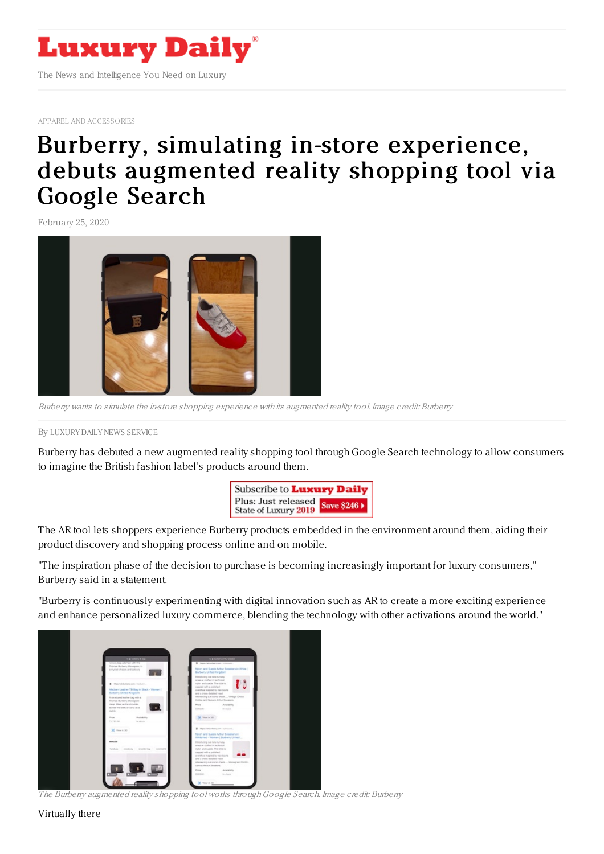

APPAREL AND [ACCESSORIES](https://www.luxurydaily.com/category/sectors/apparel-and-accessories/)

## Burberry, simulating in-store [experience,](https://www.luxurydaily.com/burberry-simulating-in-store-experience-debuts-augmented-reality-shopping-tool-via-google-search/) debuts augmented reality shopping tool via Google Search

February 25, 2020



Burberry wants to simulate the in-store shopping experience with its augmented reality tool. Image credit: Burberry

## By LUXURY DAILY NEWS [SERVICE](file:///author/luxury-daily-news-service)

Burberry has debuted a new augmented reality shopping tool through Google Search technology to allow consumers to imagine the British fashion label's products around them.



The AR tool lets shoppers experience Burberry products embedded in the environment around them, aiding their product discovery and shopping process online and on mobile.

"The inspiration phase of the decision to purchase is becoming increasingly important for luxury consumers," Burberry said in a statement.

"Burberry is continuously experimenting with digital innovation such as AR to create a more exciting experience and enhance personalized luxury commerce, blending the technology with other activations around the world."



The Burberry augmented reality shopping tool works throughGoogle Search. Image credit: Burberry

Virtually there